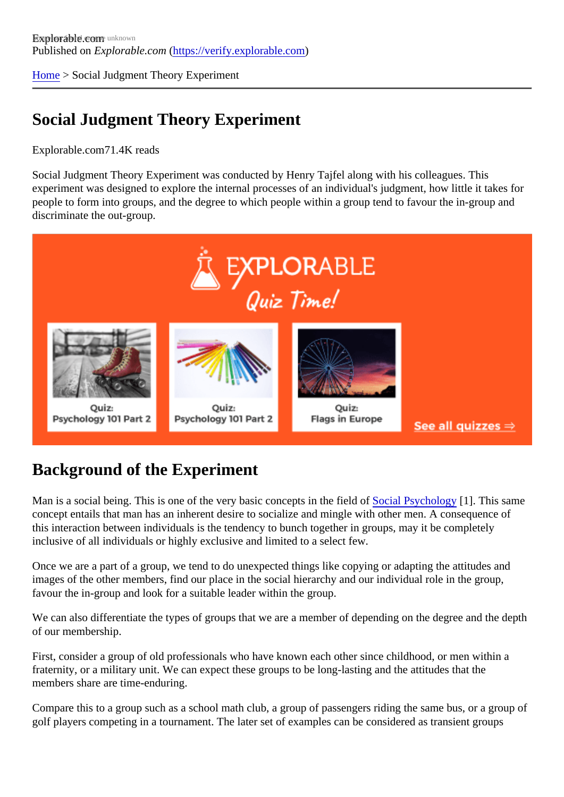[Home](https://verify.explorable.com/)> Social Judgment Theory Experiment

# Social Judgment Theory Experiment

Explorable.com71.4K reads

Social Judgment Theory Experiment was conducted by Henry Tajfel along with his colleagues. This experiment was designed to explore the internal processes of an individual's judgment, how little it takes for people to form into groups, and the degree to which people within a group tend to favour the in-group and discriminate the out-group.

### Background of the Experiment

Man is a social being. This is one of the very basic concepts in the field of Psychology [1]. This same concept entails that man has an inherent desire to socialize and mingle with other men. A consequence of this interaction between individuals is the tendency to bunch together in groups, may it be completely inclusive of all individuals or highly exclusive and limited to a select few.

Once we are a part of a group, we tend to do unexpected things like copying or adapting the attitudes and images of the other members, find our place in the social hierarchy and our individual role in the group, favour the in-group and look for a suitable leader within the group.

We can also differentiate the types of groups that we are a member of depending on the degree and the d of our membership.

First, consider a group of old professionals who have known each other since childhood, or men within a fraternity, or a military unit. We can expect these groups to be long-lasting and the attitudes that the members share are time-enduring.

Compare this to a group such as a school math club, a group of passengers riding the same bus, or a group golf players competing in a tournament. The later set of examples can be considered as transient groups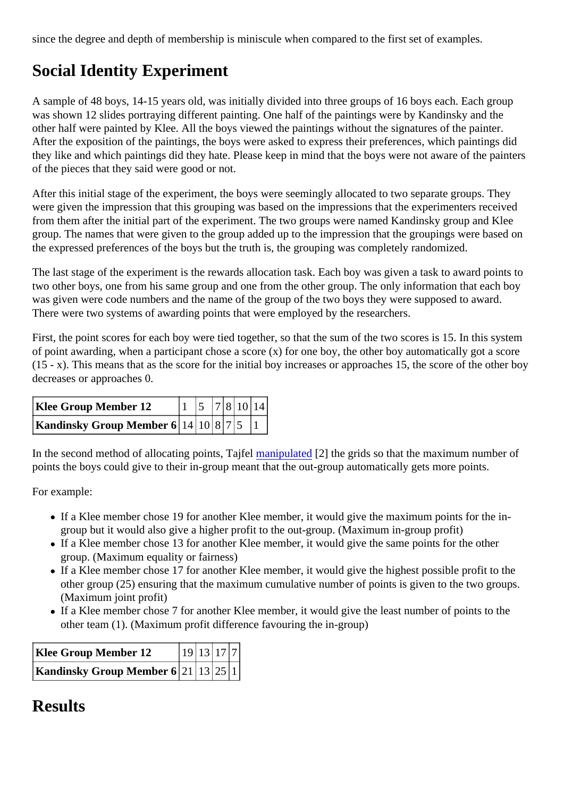since the degree and depth of membership is miniscule when compared to the first set of examples.

# Social Identity Experiment

A sample of 48 boys, 14-15 years old, was initially divided into three groups of 16 boys each. Each group was shown 12 slides portraying different painting. One half of the paintings were by Kandinsky and the other half were painted by Klee. All the boys viewed the paintings without the signatures of the painter. After the exposition of the paintings, the boys were asked to express their preferences, which paintings did they like and which paintings did they hate. Please keep in mind that the boys were not aware of the paint of the pieces that they said were good or not.

After this initial stage of the experiment, the boys were seemingly allocated to two separate groups. They were given the impression that this grouping was based on the impressions that the experimenters receive from them after the initial part of the experiment. The two groups were named Kandinsky group and Klee group. The names that were given to the group added up to the impression that the groupings were based the expressed preferences of the boys but the truth is, the grouping was completely randomized.

The last stage of the experiment is the rewards allocation task. Each boy was given a task to award points two other boys, one from his same group and one from the other group. The only information that each bo was given were code numbers and the name of the group of the two boys they were supposed to award. There were two systems of awarding points that were employed by the researchers.

First, the point scores for each boy were tied together, so that the sum of the two scores is 15. In this syste of point awarding, when a participant chose a score (x) for one boy, the other boy automatically got a score  $(15 - x)$ . This means that as the score for the initial boy increases or approaches 15, the score of the other decreases or approaches 0.

| Klee Group Member 12                      |  |  | $\left 1\right 5\left 7\right 8\left 10\right 14$ |  |
|-------------------------------------------|--|--|---------------------------------------------------|--|
| Kandinsky Group Member 6 $14 10 8 7 5$  1 |  |  |                                                   |  |

In the second method of allocating points, Tajfia mipulated 2] the grids so that the maximum number of points the boys could give to their in-group meant that the out-group automatically gets more points.

For example:

- If a Klee member chose 19 for another Klee member, it would give the maximum points for the ingroup but it would also give a higher profit to the out-group. (Maximum in-group profit)
- If a Klee member chose 13 for another Klee member, it would give the same points for the other group. (Maximum equality or fairness)
- If a Klee member chose 17 for another Klee member, it would give the highest possible profit to the other group (25) ensuring that the maximum cumulative number of points is given to the two groups. (Maximum joint profit)
- If a Klee member chose 7 for another Klee member, it would give the least number of points to the other team (1). (Maximum profit difference favouring the in-group)

| Klee Group Member 12                | 19 13 17 7 |  |  |
|-------------------------------------|------------|--|--|
| Kandinsky Group Member 6 21 13 25 1 |            |  |  |

#### **Results**